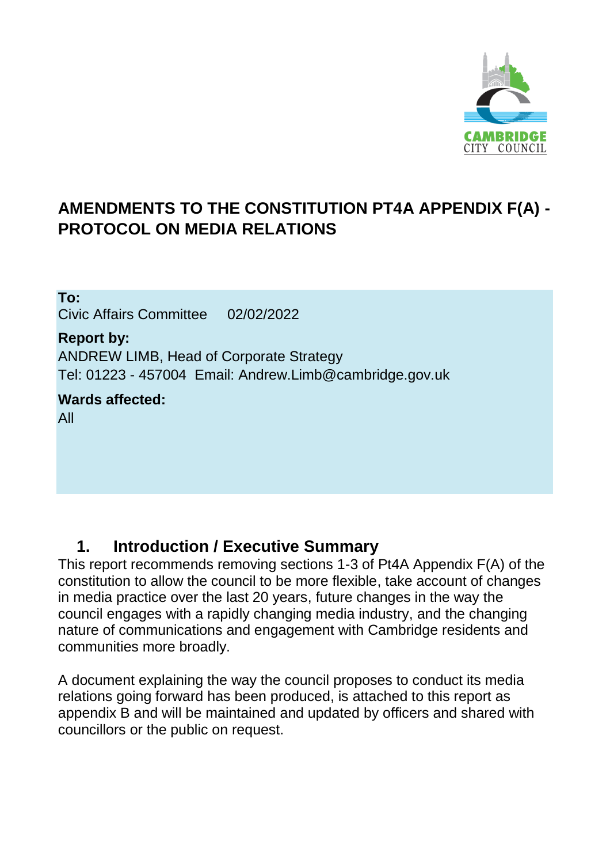

## **AMENDMENTS TO THE CONSTITUTION PT4A APPENDIX F(A) - PROTOCOL ON MEDIA RELATIONS**

**To:** Civic Affairs Committee 02/02/2022

**Report by:** ANDREW LIMB, Head of Corporate Strategy Tel: 01223 - 457004 Email: Andrew.Limb@cambridge.gov.uk

**Wards affected:** All

#### **1. Introduction / Executive Summary**

This report recommends removing sections 1-3 of Pt4A Appendix F(A) of the constitution to allow the council to be more flexible, take account of changes in media practice over the last 20 years, future changes in the way the council engages with a rapidly changing media industry, and the changing nature of communications and engagement with Cambridge residents and communities more broadly.

A document explaining the way the council proposes to conduct its media relations going forward has been produced, is attached to this report as appendix B and will be maintained and updated by officers and shared with councillors or the public on request.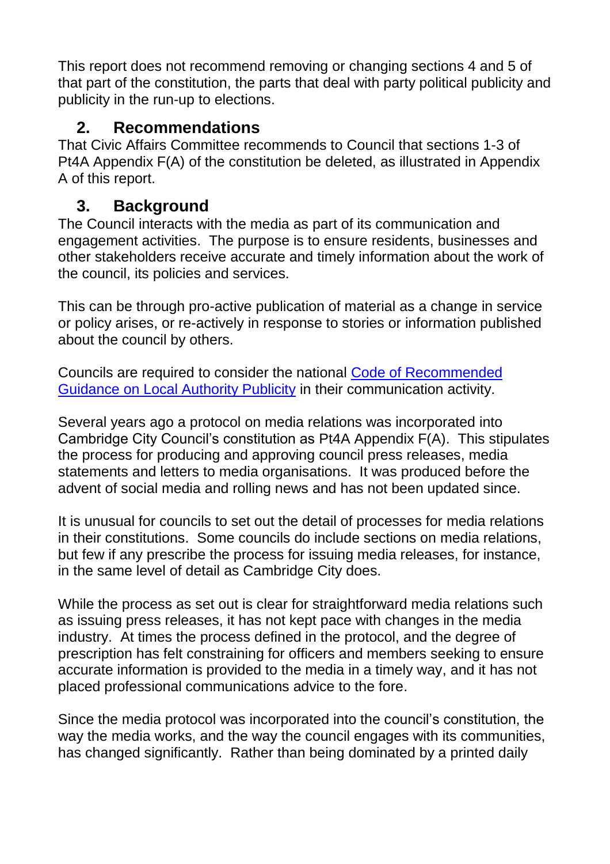This report does not recommend removing or changing sections 4 and 5 of that part of the constitution, the parts that deal with party political publicity and publicity in the run-up to elections.

#### **2. Recommendations**

That Civic Affairs Committee recommends to Council that sections 1-3 of Pt4A Appendix F(A) of the constitution be deleted, as illustrated in Appendix A of this report.

#### **3. Background**

The Council interacts with the media as part of its communication and engagement activities. The purpose is to ensure residents, businesses and other stakeholders receive accurate and timely information about the work of the council, its policies and services.

This can be through pro-active publication of material as a change in service or policy arises, or re-actively in response to stories or information published about the council by others.

Councils are required to consider the national [Code of Recommended](https://assets.publishing.service.gov.uk/government/uploads/system/uploads/attachment_data/file/5670/1878324.pdf)  [Guidance on Local Authority Publicity](https://assets.publishing.service.gov.uk/government/uploads/system/uploads/attachment_data/file/5670/1878324.pdf) in their communication activity.

Several years ago a protocol on media relations was incorporated into Cambridge City Council's constitution as Pt4A Appendix F(A). This stipulates the process for producing and approving council press releases, media statements and letters to media organisations. It was produced before the advent of social media and rolling news and has not been updated since.

It is unusual for councils to set out the detail of processes for media relations in their constitutions. Some councils do include sections on media relations, but few if any prescribe the process for issuing media releases, for instance, in the same level of detail as Cambridge City does.

While the process as set out is clear for straightforward media relations such as issuing press releases, it has not kept pace with changes in the media industry. At times the process defined in the protocol, and the degree of prescription has felt constraining for officers and members seeking to ensure accurate information is provided to the media in a timely way, and it has not placed professional communications advice to the fore.

Since the media protocol was incorporated into the council's constitution, the way the media works, and the way the council engages with its communities, has changed significantly. Rather than being dominated by a printed daily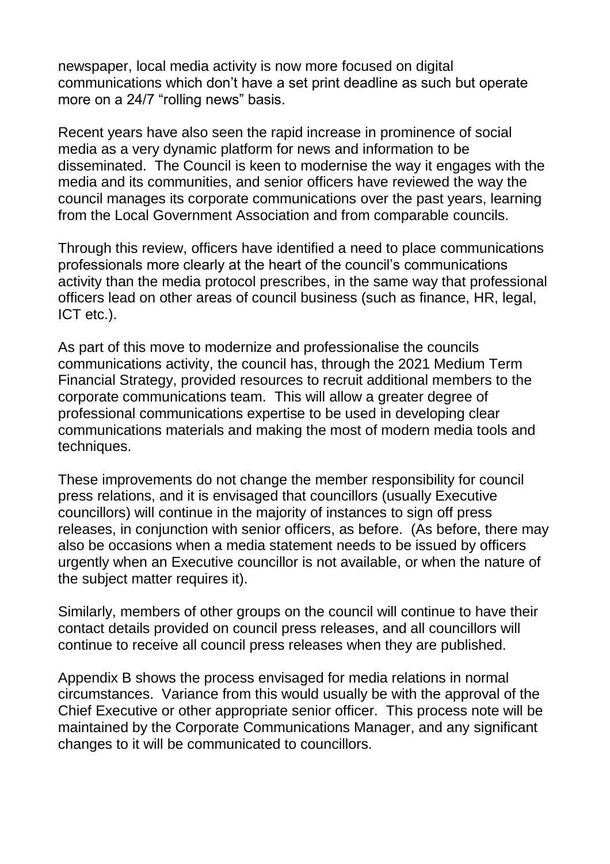newspaper, local media activity is now more focused on digital communications which don't have a set print deadline as such but operate more on a 24/7 "rolling news" basis.

Recent years have also seen the rapid increase in prominence of social media as a very dynamic platform for news and information to be disseminated. The Council is keen to modernise the way it engages with the media and its communities, and senior officers have reviewed the way the council manages its corporate communications over the past years, learning from the Local Government Association and from comparable councils.

Through this review, officers have identified a need to place communications professionals more clearly at the heart of the council's communications activity than the media protocol prescribes, in the same way that professional officers lead on other areas of council business (such as finance, HR, legal, ICT etc.).

As part of this move to modernize and professionalise the councils communications activity, the council has, through the 2021 Medium Term Financial Strategy, provided resources to recruit additional members to the corporate communications team. This will allow a greater degree of professional communications expertise to be used in developing clear communications materials and making the most of modern media tools and techniques.

These improvements do not change the member responsibility for council press relations, and it is envisaged that councillors (usually Executive councillors) will continue in the majority of instances to sign off press releases, in conjunction with senior officers, as before. (As before, there may also be occasions when a media statement needs to be issued by officers urgently when an Executive councillor is not available, or when the nature of the subject matter requires it).

Similarly, members of other groups on the council will continue to have their contact details provided on council press releases, and all councillors will continue to receive all council press releases when they are published.

Appendix B shows the process envisaged for media relations in normal circumstances. Variance from this would usually be with the approval of the Chief Executive or other appropriate senior officer. This process note will be maintained by the Corporate Communications Manager, and any significant changes to it will be communicated to councillors.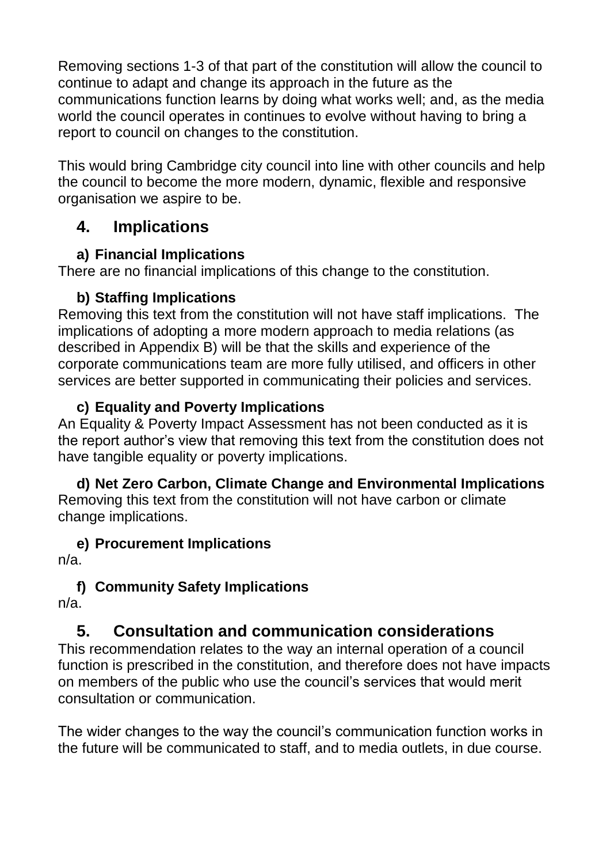Removing sections 1-3 of that part of the constitution will allow the council to continue to adapt and change its approach in the future as the communications function learns by doing what works well; and, as the media world the council operates in continues to evolve without having to bring a report to council on changes to the constitution.

This would bring Cambridge city council into line with other councils and help the council to become the more modern, dynamic, flexible and responsive organisation we aspire to be.

### **4. Implications**

#### **a) Financial Implications**

There are no financial implications of this change to the constitution.

#### **b) Staffing Implications**

Removing this text from the constitution will not have staff implications. The implications of adopting a more modern approach to media relations (as described in Appendix B) will be that the skills and experience of the corporate communications team are more fully utilised, and officers in other services are better supported in communicating their policies and services.

#### **c) Equality and Poverty Implications**

An Equality & Poverty Impact Assessment has not been conducted as it is the report author's view that removing this text from the constitution does not have tangible equality or poverty implications.

**d) Net Zero Carbon, Climate Change and Environmental Implications** Removing this text from the constitution will not have carbon or climate change implications.

**e) Procurement Implications**

n/a.

#### **f) Community Safety Implications**

n/a.

## **5. Consultation and communication considerations**

This recommendation relates to the way an internal operation of a council function is prescribed in the constitution, and therefore does not have impacts on members of the public who use the council's services that would merit consultation or communication.

The wider changes to the way the council's communication function works in the future will be communicated to staff, and to media outlets, in due course.